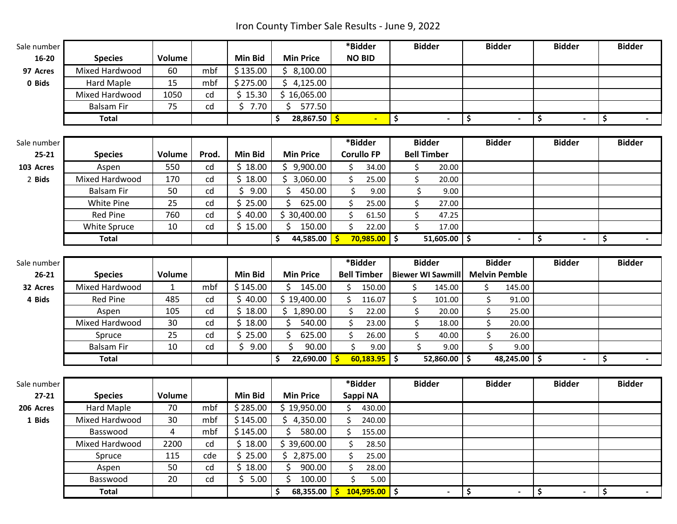Iron County Timber Sale Results - June 9, 2022

**In** 

| Sale number |                   |               |       |                |                    | *Bidder              | <b>Bidder</b>            | <b>Bidder</b>        | <b>Bidder</b>        | <b>Bidder</b>                  |
|-------------|-------------------|---------------|-------|----------------|--------------------|----------------------|--------------------------|----------------------|----------------------|--------------------------------|
| $16 - 20$   | <b>Species</b>    | Volume        |       | <b>Min Bid</b> | <b>Min Price</b>   | <b>NO BID</b>        |                          |                      |                      |                                |
| 97 Acres    | Mixed Hardwood    | 60            | mbf   | \$135.00       | \$3,100.00         |                      |                          |                      |                      |                                |
| 0 Bids      | Hard Maple        | 15            | mbf   | \$275.00       | \$4,125.00         |                      |                          |                      |                      |                                |
|             | Mixed Hardwood    | 1050          | cd    | \$15.30        | \$16,065.00        |                      |                          |                      |                      |                                |
|             | <b>Balsam Fir</b> | 75            | cd    | \$7.70         | Ŝ.<br>577.50       |                      |                          |                      |                      |                                |
|             | <b>Total</b>      |               |       |                | \$<br>28,867.50    | $\frac{1}{2}$        | \$<br>$\blacksquare$     | \$<br>$\blacksquare$ | \$                   | \$<br>$\blacksquare$           |
|             |                   |               |       |                |                    |                      |                          |                      |                      |                                |
| Sale number |                   |               |       |                |                    | *Bidder              | <b>Bidder</b>            | <b>Bidder</b>        | <b>Bidder</b>        | <b>Bidder</b>                  |
| $25 - 21$   | <b>Species</b>    | <b>Volume</b> | Prod. | <b>Min Bid</b> | <b>Min Price</b>   | <b>Corullo FP</b>    | <b>Bell Timber</b>       |                      |                      |                                |
| 103 Acres   | Aspen             | 550           | cd    | \$18.00        | \$9,900.00         | 34.00<br>Ś.          | \$<br>20.00              |                      |                      |                                |
| 2 Bids      | Mixed Hardwood    | 170           | cd    | \$18.00        | \$3,060.00         | \$<br>25.00          | \$<br>20.00              |                      |                      |                                |
|             | <b>Balsam Fir</b> | 50            | cd    | \$<br>9.00     | Ś<br>450.00        | Ś.<br>9.00           | \$<br>9.00               |                      |                      |                                |
|             | White Pine        | 25            | cd    | \$.<br>25.00   | \$<br>625.00       | 25.00                | \$<br>27.00              |                      |                      |                                |
|             | <b>Red Pine</b>   | 760           | cd    | \$40.00        | \$30,400.00        | \$<br>61.50          | \$<br>47.25              |                      |                      |                                |
|             | White Spruce      | 10            | cd    | \$15.00        | 150.00<br>Ŝ.       | Ś.<br>22.00          | \$<br>17.00              |                      |                      |                                |
|             | <b>Total</b>      |               |       |                | 44,585.00<br>\$    | $70,985.00$ \$<br>Ŝ  | $51,605.00$ \$           | $\blacksquare$       | \$                   | \$<br>$\blacksquare$           |
|             |                   |               |       |                |                    |                      |                          |                      |                      |                                |
| Sale number |                   |               |       |                |                    | *Bidder              | <b>Bidder</b>            | <b>Bidder</b>        | <b>Bidder</b>        | <b>Bidder</b>                  |
| $26 - 21$   | <b>Species</b>    | Volume        |       | Min Bid        | <b>Min Price</b>   | <b>Bell Timber</b>   | <b>Biewer WI Sawmill</b> | <b>Melvin Pemble</b> |                      |                                |
| 32 Acres    | Mixed Hardwood    | $\mathbf{1}$  | mbf   | \$145.00       | 145.00<br>Ŝ.       | \$<br>150.00         | \$<br>145.00             | \$<br>145.00         |                      |                                |
| 4 Bids      | <b>Red Pine</b>   | 485           | cd    | \$40.00        | \$19,400.00        | \$<br>116.07         | \$<br>101.00             | \$<br>91.00          |                      |                                |
|             | Aspen             | 105           | cd    | \$18.00        | \$1,890.00         | Ś.<br>22.00          | \$<br>20.00              | \$<br>25.00          |                      |                                |
|             | Mixed Hardwood    | 30            | cd    | \$18.00        | \$<br>540.00       | \$<br>23.00          | \$<br>18.00              | \$<br>20.00          |                      |                                |
|             | Spruce            | 25            | cd    | Ś.<br>25.00    | Ś<br>625.00        | Ś.<br>26.00          | \$<br>40.00              | \$<br>26.00          |                      |                                |
|             | <b>Balsam Fir</b> | 10            | cd    | \$9.00         | ς<br>90.00         | \$<br>9.00           | \$<br>9.00               | Ś<br>9.00            |                      |                                |
|             | <b>Total</b>      |               |       |                | \$<br>22,690.00    | -Ś<br>$60,183.95$ \$ | $52,860.00$ \$           | 48,245.00 \$         | $\blacksquare$       | \$<br>$\blacksquare$           |
|             |                   |               |       |                |                    |                      |                          |                      |                      |                                |
| Sale number |                   |               |       |                |                    | *Bidder              | <b>Bidder</b>            | <b>Bidder</b>        | <b>Bidder</b>        | <b>Bidder</b>                  |
| $27 - 21$   | <b>Species</b>    | Volume        |       | <b>Min Bid</b> | <b>Min Price</b>   | Sappi NA             |                          |                      |                      |                                |
| 206 Acres   | <b>Hard Maple</b> | 70            | mbf   | \$285.00       | \$19,950.00        | \$<br>430.00         |                          |                      |                      |                                |
| 1 Bids      | Mixed Hardwood    | 30            | mbf   | \$145.00       | \$4,350.00         | Ś.<br>240.00         |                          |                      |                      |                                |
|             | Basswood          | 4             | mbf   | \$145.00       | 580.00<br>\$       | 155.00<br>S.         |                          |                      |                      |                                |
|             | Mixed Hardwood    | 2200          | cd    | \$18.00        | \$39,600.00        | \$<br>28.50          |                          |                      |                      |                                |
|             | Spruce            | 115           | cde   | \$25.00        | \$2,875.00         | \$<br>25.00          |                          |                      |                      |                                |
|             | Aspen             | 50            | cd    | \$18.00        | Ś.<br>900.00       | Ś.<br>28.00          |                          |                      |                      |                                |
|             | Basswood          | 20            | cd    | \$5.00         | Ś.<br>100.00       | \$<br>5.00           |                          |                      |                      |                                |
|             | <b>Total</b>      |               |       |                | \$<br>68,355.00 \$ | $104,995.00$ \$      | $\blacksquare$           | \$<br>$\blacksquare$ | \$<br>$\blacksquare$ | \$<br>$\overline{\phantom{a}}$ |
|             |                   |               |       |                |                    |                      |                          |                      |                      |                                |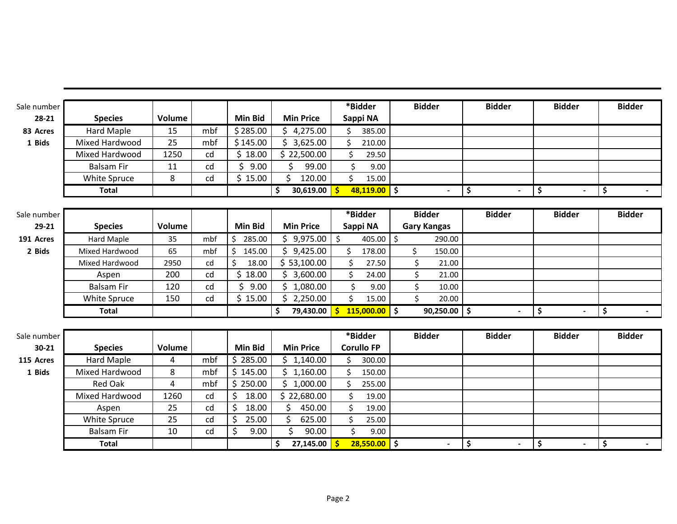| Sale number |                   |                |     |                |                                  | *Bidder                         | <b>Bidder</b>            | <b>Bidder</b>  | <b>Bidder</b>                  | <b>Bidder</b> |
|-------------|-------------------|----------------|-----|----------------|----------------------------------|---------------------------------|--------------------------|----------------|--------------------------------|---------------|
| $28 - 21$   | <b>Species</b>    | Volume         |     | <b>Min Bid</b> | <b>Min Price</b>                 | Sappi NA                        |                          |                |                                |               |
| 83 Acres    | Hard Maple        | 15             | mbf | \$285.00       | 4,275.00                         | 385.00                          |                          |                |                                |               |
| 1 Bids      | Mixed Hardwood    | 25             | mbf | \$145.00       | 3,625.00<br>Ś.                   | $\mathsf{\hat{S}}$<br>210.00    |                          |                |                                |               |
|             | Mixed Hardwood    | 1250           | cd  | \$18.00        | \$22,500.00                      | \$<br>29.50                     |                          |                |                                |               |
|             | <b>Balsam Fir</b> | 11             | cd  | \$<br>9.00     | Ś.<br>99.00                      | \$<br>9.00                      |                          |                |                                |               |
|             | White Spruce      | 8              | cd  | \$15.00        | Ś<br>120.00                      | \$<br>15.00                     |                          |                |                                |               |
|             | Total             |                |     |                | 30,619.00 \$<br>\$               | $48,119.00$ \$                  | $\blacksquare$           | \$             | \$                             | \$            |
|             |                   |                |     |                |                                  |                                 |                          |                |                                |               |
| Sale number |                   |                |     |                |                                  | *Bidder                         | <b>Bidder</b>            | <b>Bidder</b>  | <b>Bidder</b>                  | <b>Bidder</b> |
| 29-21       | <b>Species</b>    | Volume         |     | <b>Min Bid</b> | <b>Min Price</b>                 | Sappi NA                        | <b>Gary Kangas</b>       |                |                                |               |
| 191 Acres   | Hard Maple        | 35             | mbf | \$<br>285.00   | \$9,975.00                       | 405.00<br>\$                    | $\zeta$<br>290.00        |                |                                |               |
| 2 Bids      | Mixed Hardwood    | 65             | mbf | \$<br>145.00   | \$<br>9,425.00                   | Ś.<br>178.00                    | \$<br>150.00             |                |                                |               |
|             | Mixed Hardwood    | 2950           | cd  | Ś.<br>18.00    | \$53,100.00                      | Ś.<br>27.50                     | \$<br>21.00              |                |                                |               |
|             | Aspen             | 200            | cd  | Ś.<br>18.00    | \$3,600.00                       | Ś.<br>24.00                     | \$<br>21.00              |                |                                |               |
|             | <b>Balsam Fir</b> | 120            | cd  | \$<br>9.00     | Ś.<br>1,080.00                   | \$<br>9.00                      | \$<br>10.00              |                |                                |               |
|             | White Spruce      | 150            | cd  | \$15.00        | \$<br>2,250.00                   | Ś.<br>15.00                     | \$<br>20.00              |                |                                |               |
|             | <b>Total</b>      |                |     |                | $\ddot{\bm{\zeta}}$<br>79,430.00 | $115,000.00$ \$<br>$\mathsf{s}$ | $90,250.00$ \$           | $\blacksquare$ | \$<br>$\blacksquare$           | \$            |
|             |                   |                |     |                |                                  |                                 |                          |                |                                |               |
| Sale number |                   |                |     |                |                                  | *Bidder                         | <b>Bidder</b>            | <b>Bidder</b>  | <b>Bidder</b>                  | <b>Bidder</b> |
| $30 - 21$   | <b>Species</b>    | Volume         |     | <b>Min Bid</b> | <b>Min Price</b>                 | <b>Corullo FP</b>               |                          |                |                                |               |
| 115 Acres   | Hard Maple        | 4              | mbf | \$285.00       | \$1,140.00                       | Ś.<br>300.00                    |                          |                |                                |               |
| 1 Bids      | Mixed Hardwood    | 8              | mbf | \$145.00       | \$1,160.00                       | ς.<br>150.00                    |                          |                |                                |               |
|             | Red Oak           | $\overline{4}$ | mbf | \$250.00       | $\mathsf{S}$<br>1,000.00         | Ś.<br>255.00                    |                          |                |                                |               |
|             | Mixed Hardwood    | 1260           | cd  | \$<br>18.00    | \$22,680.00                      | Ŝ.<br>19.00                     |                          |                |                                |               |
|             | Aspen             | 25             | cd  | \$<br>18.00    | Ś<br>450.00                      | $\mathsf{\hat{S}}$<br>19.00     |                          |                |                                |               |
|             | White Spruce      | 25             | cd  | \$<br>25.00    | 625.00                           | \$<br>25.00                     |                          |                |                                |               |
|             | <b>Balsam Fir</b> | 10             | cd  | \$<br>9.00     | \$<br>90.00                      | \$<br>9.00                      |                          |                |                                |               |
|             | <b>Total</b>      |                |     |                | $27,145.00$   \$<br>\$           | $28,550.00$ \$                  | $\overline{\phantom{a}}$ | \$             | \$<br>$\overline{\phantom{a}}$ | \$            |
|             |                   |                |     |                |                                  |                                 |                          |                |                                |               |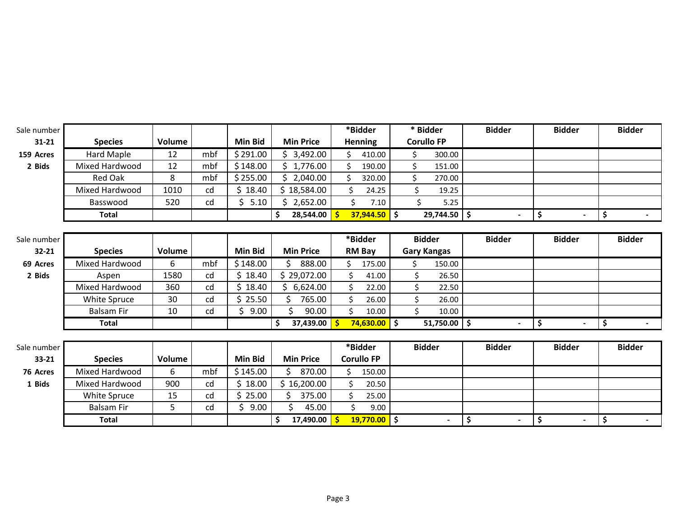| Sale number |                   |               |     |                |                        | *Bidder           | * Bidder                    | <b>Bidder</b>            | <b>Bidder</b>        | <b>Bidder</b> |
|-------------|-------------------|---------------|-----|----------------|------------------------|-------------------|-----------------------------|--------------------------|----------------------|---------------|
| $31 - 21$   | <b>Species</b>    | Volume        |     | <b>Min Bid</b> | <b>Min Price</b>       | <b>Henning</b>    | <b>Corullo FP</b>           |                          |                      |               |
| 159 Acres   | Hard Maple        | 12            | mbf | \$291.00       | \$3,492.00             | 410.00<br>Ś.      | \$<br>300.00                |                          |                      |               |
| 2 Bids      | Mixed Hardwood    | 12            | mbf | \$148.00       | \$1,776.00             | \$<br>190.00      | \$<br>151.00                |                          |                      |               |
|             | Red Oak           | 8             | mbf | \$255.00       | \$2,040.00             | Ś<br>320.00       | \$<br>270.00                |                          |                      |               |
|             | Mixed Hardwood    | 1010          | cd  | \$18.40        | \$18,584.00            | 24.25<br>Ś.       | \$<br>19.25                 |                          |                      |               |
|             | Basswood          | 520           | cd  | \$5.10         | \$2,652.00             | Ś.<br>7.10        | Ś.<br>5.25                  |                          |                      |               |
|             | <b>Total</b>      |               |     |                | \$<br>$28,544.00$   \$ | $37,944.50$ \$    | $29,744.50$ \$              | $\overline{\phantom{a}}$ | \$                   | \$<br>$\sim$  |
|             |                   |               |     |                |                        |                   |                             |                          |                      |               |
| Sale number |                   |               |     |                |                        | *Bidder           | <b>Bidder</b>               | <b>Bidder</b>            | <b>Bidder</b>        | <b>Bidder</b> |
| 32-21       | <b>Species</b>    | Volume        |     | <b>Min Bid</b> | <b>Min Price</b>       | <b>RM Bay</b>     | <b>Gary Kangas</b>          |                          |                      |               |
| 69 Acres    | Mixed Hardwood    | 6             | mbf | \$148.00       | \$<br>888.00           | Ś.<br>175.00      | \$<br>150.00                |                          |                      |               |
| 2 Bids      | Aspen             | 1580          | cd  | \$18.40        | \$29,072.00            | \$<br>41.00       | \$<br>26.50                 |                          |                      |               |
|             | Mixed Hardwood    | 360           | cd  | ς<br>18.40     | \$6,624.00             | 22.00             | \$<br>22.50                 |                          |                      |               |
|             | White Spruce      | 30            | cd  | 25.50          | 765.00                 | 26.00             | $\mathsf{\hat{S}}$<br>26.00 |                          |                      |               |
|             | <b>Balsam Fir</b> | 10            | cd  | 9.00<br>Ś      | Ś.<br>90.00            | Ś.<br>10.00       | \$<br>10.00                 |                          |                      |               |
|             | <b>Total</b>      |               |     |                | \$<br>37,439.00 \$     | $74,630.00$ \$    | $51,750.00$ \$              | $\blacksquare$           | \$                   | \$            |
|             |                   |               |     |                |                        |                   |                             |                          |                      |               |
| Sale number |                   |               |     |                |                        | *Bidder           | <b>Bidder</b>               | <b>Bidder</b>            | <b>Bidder</b>        | <b>Bidder</b> |
| 33-21       | <b>Species</b>    | <b>Volume</b> |     | <b>Min Bid</b> | <b>Min Price</b>       | <b>Corullo FP</b> |                             |                          |                      |               |
| 76 Acres    | Mixed Hardwood    | 6             | mbf | \$145.00       | 870.00                 | 150.00<br>Ŝ.      |                             |                          |                      |               |
| 1 Bids      | Mixed Hardwood    | 900           | cd  | 18.00<br>Ś.    | \$16,200.00            | \$.<br>20.50      |                             |                          |                      |               |
|             | White Spruce      | 15            | cd  | 25.00          | 375.00                 | 25.00             |                             |                          |                      |               |
|             | <b>Balsam Fir</b> | 5             | cd  | Ś.<br>9.00     | 45.00                  | \$<br>9.00        |                             |                          |                      |               |
|             | <b>Total</b>      |               |     |                | \$<br>17,490.00 \$     | $19,770.00$ \$    |                             | \$<br>$\blacksquare$     | \$<br>$\blacksquare$ | \$            |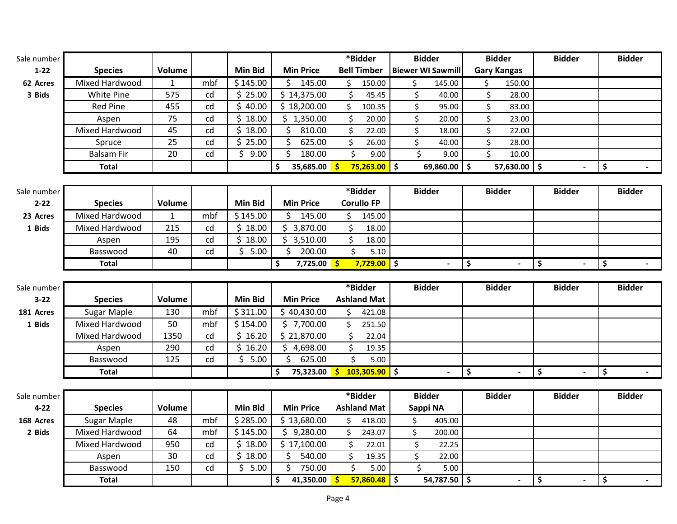| Sale number |                   |        |     |          |                  | *Bidder            | <b>Bidder</b>            | <b>Bidder</b>      | <b>Bidder</b> | <b>Bidder</b>            |
|-------------|-------------------|--------|-----|----------|------------------|--------------------|--------------------------|--------------------|---------------|--------------------------|
| $1-22$      | <b>Species</b>    | Volume |     | Min Bid  | <b>Min Price</b> | <b>Bell Timber</b> | <b>Biewer WI Sawmill</b> | <b>Gary Kangas</b> |               |                          |
| 62 Acres    | Mixed Hardwood    |        | mbf | \$145.00 | 145.00           | 150.00             | 145.00                   | 150.00             |               |                          |
| 3 Bids      | White Pine        | 575    | cd  | 25.00    | \$14,375.00      | 45.45              | 40.00                    | 28.00              |               |                          |
|             | Red Pine          | 455    | cd  | 40.00    | \$18,200.00      | 100.35             | 95.00                    | 83.00              |               |                          |
|             | Aspen             | 75     | cd  | 18.00    | 1,350.00         | 20.00              | 20.00                    | 23.00              |               |                          |
|             | Mixed Hardwood    | 45     | cd  | 18.00    | 810.00           | 22.00              | 18.00                    | 22.00              |               |                          |
|             | Spruce            | 25     | cd  | 25.00    | 625.00           | 26.00              | 40.00                    | 28.00              |               |                          |
|             | <b>Balsam Fir</b> | 20     | cd  | 9.00     | 180.00           | 9.00               | 9.00                     | 10.00              |               |                          |
|             | Total             |        |     |          | 35,685.00        | 75,263.00          | 69,860.00<br>5           | $57,630.00$ \$     |               | $\overline{\phantom{a}}$ |
|             |                   |        |     |          |                  |                    |                          |                    |               |                          |

| Sale number |                |        |     |           |                  | *Bidder           | <b>Bidder</b>            | <b>Bidder</b>            | <b>Bidder</b> | <b>Bidder</b> |
|-------------|----------------|--------|-----|-----------|------------------|-------------------|--------------------------|--------------------------|---------------|---------------|
| $2 - 22$    | <b>Species</b> | Volume |     | Min Bid   | <b>Min Price</b> | <b>Corullo FP</b> |                          |                          |               |               |
| 23 Acres    | Mixed Hardwood |        | mbf | \$ 145.00 | 145.00           | 145.00            |                          |                          |               |               |
| 1 Bids      | Mixed Hardwood | 215    | cd  | 18.00     | 3,870.00         | 18.00             |                          |                          |               |               |
|             | Aspen          | 195    | cd  | 18.00     | 8,510.00         | 18.00             |                          |                          |               |               |
|             | Basswood       | 40     | cd  | 5.00      | 200.00           | 5.10              |                          |                          |               |               |
|             | <b>Total</b>   |        |     |           | 7,725.00         | 7,729.00          | $\overline{\phantom{0}}$ | $\overline{\phantom{0}}$ |               |               |

| Sale number |                |        |     |                |                  | *Bidder            | <b>Bidder</b>            | <b>Bidder</b>            | <b>Bidder</b>            | <b>Bidder</b> |
|-------------|----------------|--------|-----|----------------|------------------|--------------------|--------------------------|--------------------------|--------------------------|---------------|
| $3 - 22$    | <b>Species</b> | Volume |     | <b>Min Bid</b> | <b>Min Price</b> | <b>Ashland Mat</b> |                          |                          |                          |               |
| 181 Acres   | Sugar Maple    | 130    | mbf | \$311.00       | \$40,430.00      | 421.08             |                          |                          |                          |               |
| 1 Bids      | Mixed Hardwood | 50     | mbf | \$154.00       | 7,700.00         | 251.50             |                          |                          |                          |               |
|             | Mixed Hardwood | 1350   | cd  | 16.20          | 21,870.00        | 22.04              |                          |                          |                          |               |
|             | Aspen          | 290    | cd  | 16.20          | 4,698.00         | 19.35              |                          |                          |                          |               |
|             | Basswood       | 125    | cd  | 5.00           | 625.00           | 5.00               |                          |                          |                          |               |
|             | Total          |        |     |                | 75,323.00        | 103,305.90         | $\overline{\phantom{0}}$ | $\overline{\phantom{0}}$ | $\overline{\phantom{0}}$ |               |

| Sale number |                |        |     |          |                  | *Bidder            | <b>Bidder</b> | <b>Bidder</b>            | <b>Bidder</b>            | <b>Bidder</b> |
|-------------|----------------|--------|-----|----------|------------------|--------------------|---------------|--------------------------|--------------------------|---------------|
| $4 - 22$    | <b>Species</b> | Volume |     | Min Bid  | <b>Min Price</b> | <b>Ashland Mat</b> | Sappi NA      |                          |                          |               |
| 168 Acres   | Sugar Maple    | 48     | mbf | \$285.00 | \$13,680.00      | 418.00             | 405.00        |                          |                          |               |
| 2 Bids      | Mixed Hardwood | 64     | mbf | \$145.00 | 9,280.00         | 243.07             | 200.00        |                          |                          |               |
|             | Mixed Hardwood | 950    | cd  | 18.00    | 517,100.00       | 22.01              | 22.25         |                          |                          |               |
|             | Aspen          | 30     | cd  | 18.00    | 540.00           | 19.35              | 22.00         |                          |                          |               |
|             | Basswood       | 150    | cd  | 5.00     | 750.00           | 5.00               | $5.00$        |                          |                          |               |
|             | <b>Total</b>   |        |     |          | 41,350.00        | $57,860.48$ \$     | 54,787.50 \$  | $\overline{\phantom{a}}$ | $\overline{\phantom{0}}$ | $\sim$        |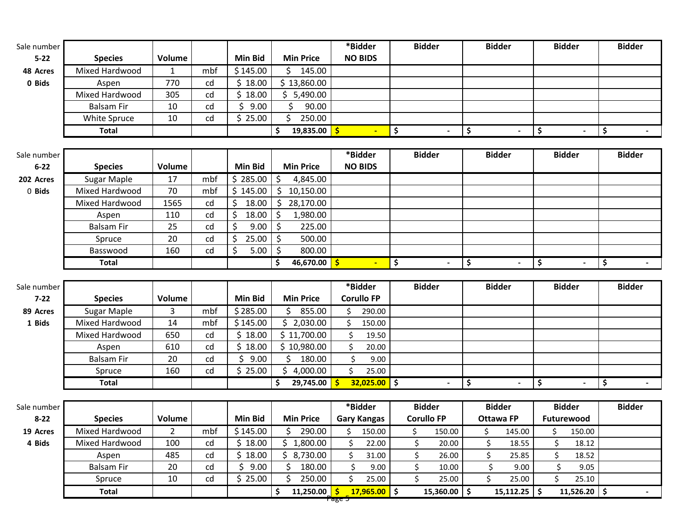| Sale number |                   |                |     |                |                           | *Bidder                       | <b>Bidder</b>        |                     | <b>Bidder</b>    | <b>Bidder</b>                 | <b>Bidder</b> |
|-------------|-------------------|----------------|-----|----------------|---------------------------|-------------------------------|----------------------|---------------------|------------------|-------------------------------|---------------|
| $5 - 22$    | <b>Species</b>    | Volume         |     | <b>Min Bid</b> | <b>Min Price</b>          | <b>NO BIDS</b>                |                      |                     |                  |                               |               |
| 48 Acres    | Mixed Hardwood    | 1              | mbf | \$145.00       | \$<br>145.00              |                               |                      |                     |                  |                               |               |
| 0 Bids      | Aspen             | 770            | cd  | \$18.00        | \$13,860.00               |                               |                      |                     |                  |                               |               |
|             | Mixed Hardwood    | 305            | cd  | \$18.00        | \$5,490.00                |                               |                      |                     |                  |                               |               |
|             | <b>Balsam Fir</b> | 10             | cd  | \$<br>9.00     | \$<br>90.00               |                               |                      |                     |                  |                               |               |
|             | White Spruce      | 10             | cd  | \$25.00        | \$<br>250.00              |                               |                      |                     |                  |                               |               |
|             | <b>Total</b>      |                |     |                | 19,835.00<br>\$           | $\mathsf{S}$                  | \$                   | \$                  | $\blacksquare$   | \$                            | \$            |
|             |                   |                |     |                |                           |                               |                      |                     |                  |                               |               |
| Sale number |                   |                |     |                |                           | *Bidder                       | <b>Bidder</b>        |                     | <b>Bidder</b>    | <b>Bidder</b>                 | <b>Bidder</b> |
| $6 - 22$    | <b>Species</b>    | <b>Volume</b>  |     | <b>Min Bid</b> | <b>Min Price</b>          | <b>NO BIDS</b>                |                      |                     |                  |                               |               |
| 202 Acres   | Sugar Maple       | 17             | mbf | \$285.00       | 4,845.00<br>Ŝ             |                               |                      |                     |                  |                               |               |
| 0 Bids      | Mixed Hardwood    | 70             | mbf | \$145.00       | \$<br>10,150.00           |                               |                      |                     |                  |                               |               |
|             | Mixed Hardwood    | 1565           | cd  | \$<br>18.00    | Ś.<br>28,170.00           |                               |                      |                     |                  |                               |               |
|             | Aspen             | 110            | cd  | \$<br>18.00    | \$<br>1,980.00            |                               |                      |                     |                  |                               |               |
|             | <b>Balsam Fir</b> | 25             | cd  | \$<br>9.00     | \$<br>225.00              |                               |                      |                     |                  |                               |               |
|             | Spruce            | 20             | cd  | \$<br>25.00    | -\$<br>500.00             |                               |                      |                     |                  |                               |               |
|             | Basswood          | 160            | cd  | \$<br>5.00     | 800.00<br>\$              |                               |                      |                     |                  |                               |               |
|             | <b>Total</b>      |                |     |                | 46,670.00<br>\$           | $\blacktriangleright$         | \$<br>$\blacksquare$ | $\ddot{\bm{\zeta}}$ | $\blacksquare$   | \$<br>$\sim$                  | \$<br>$\sim$  |
|             |                   |                |     |                |                           |                               |                      |                     |                  |                               |               |
|             |                   |                |     |                |                           |                               |                      |                     |                  |                               |               |
| Sale number |                   |                |     |                |                           | *Bidder                       | <b>Bidder</b>        |                     | <b>Bidder</b>    | <b>Bidder</b>                 | <b>Bidder</b> |
| $7 - 22$    | <b>Species</b>    | Volume         |     | <b>Min Bid</b> | <b>Min Price</b>          | <b>Corullo FP</b>             |                      |                     |                  |                               |               |
| 89 Acres    | Sugar Maple       | 3              | mbf | \$285.00       | Ŝ.<br>855.00              | 290.00<br>Ś.                  |                      |                     |                  |                               |               |
| 1 Bids      | Mixed Hardwood    | 14             | mbf | \$145.00       | \$2,030.00                | Ś.<br>150.00                  |                      |                     |                  |                               |               |
|             | Mixed Hardwood    | 650            | cd  | \$18.00        | \$11,700.00               | Ś<br>19.50                    |                      |                     |                  |                               |               |
|             | Aspen             | 610            | cd  | \$18.00        | \$10,980.00               | Ś.<br>20.00                   |                      |                     |                  |                               |               |
|             | <b>Balsam Fir</b> | 20             | cd  | \$<br>9.00     | Ś<br>180.00               | \$<br>9.00                    |                      |                     |                  |                               |               |
|             | Spruce            | 160            | cd  | \$25.00        | \$4,000.00                | \$<br>25.00                   |                      |                     |                  |                               |               |
|             | <b>Total</b>      |                |     |                | 29,745.00<br>\$           | $32,025.00$ \$<br>-\$         |                      | \$                  | $\blacksquare$   | \$                            | \$            |
|             |                   |                |     |                |                           |                               |                      |                     |                  |                               |               |
| Sale number |                   |                |     |                |                           | *Bidder                       | <b>Bidder</b>        |                     | <b>Bidder</b>    | <b>Bidder</b>                 | <b>Bidder</b> |
| $8 - 22$    | <b>Species</b>    | Volume         |     | Min Bid        | <b>Min Price</b>          | <b>Gary Kangas</b>            | <b>Corullo FP</b>    |                     | <b>Ottawa FP</b> | Futurewood                    |               |
| 19 Acres    | Mixed Hardwood    | $\overline{2}$ | mbf | \$145.00       | 290.00<br>\$              | \$<br>150.00                  | \$<br>150.00         | \$                  | 145.00           | \$<br>150.00                  |               |
| 4 Bids      | Mixed Hardwood    | 100            | cd  | \$18.00        | 1,800.00<br>Ś.            | Ś.<br>22.00                   | \$<br>20.00          | \$                  | 18.55            | \$<br>18.12                   |               |
|             | Aspen             | 485            | cd  | \$18.00        | \$8,730.00                | \$<br>31.00                   | \$<br>26.00          | \$                  | 25.85            | \$<br>18.52                   |               |
|             | Balsam Fir        | 20             | cd  | \$<br>9.00     | \$<br>180.00              | \$<br>9.00                    | \$<br>10.00          | \$                  | 9.00             | \$<br>9.05                    |               |
|             | Spruce            | 10             | cd  | \$25.00        | \$<br>250.00<br>11,250.00 | Ś.<br>25.00<br>$17,965.00$ \$ | \$<br>25.00          | \$                  | 25.00            | \$<br>25.10<br>$11,526.20$ \$ |               |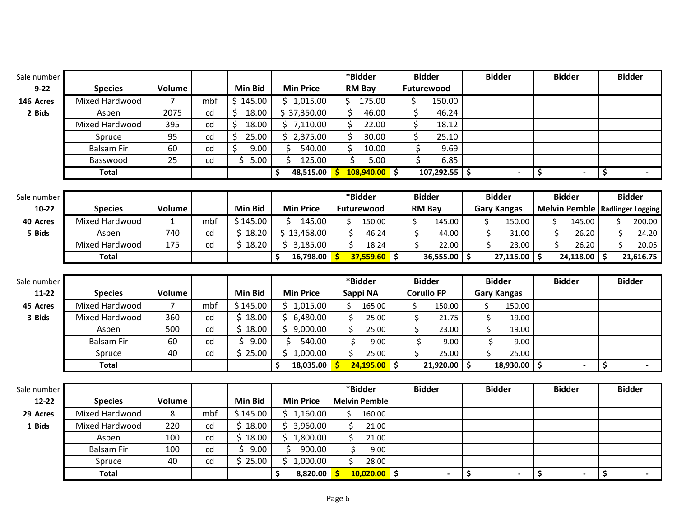| Sale number |                        |                |     |                 |                              | *Bidder                                       | <b>Bidder</b>                   | <b>Bidder</b>                   | <b>Bidder</b>                            | <b>Bidder</b> |
|-------------|------------------------|----------------|-----|-----------------|------------------------------|-----------------------------------------------|---------------------------------|---------------------------------|------------------------------------------|---------------|
| $9 - 22$    | <b>Species</b>         | Volume         |     | Min Bid         | <b>Min Price</b>             | <b>RM Bay</b>                                 | Futurewood                      |                                 |                                          |               |
| 146 Acres   | Mixed Hardwood         | $\overline{7}$ | mbf | \$145.00        | \$1,015.00                   | \$175.00                                      | \$.<br>150.00                   |                                 |                                          |               |
| 2 Bids      | Aspen                  | 2075           | cd  | \$<br>18.00     | \$37,350.00                  | \$<br>46.00                                   | \$<br>46.24                     |                                 |                                          |               |
|             | Mixed Hardwood         | 395            | cd  | \$<br>18.00     | \$7,110.00                   | \$<br>22.00                                   | \$<br>18.12                     |                                 |                                          |               |
|             | Spruce                 | 95             | cd  | \$<br>25.00     | \$2,375.00                   | \$<br>30.00                                   | \$<br>25.10                     |                                 |                                          |               |
|             | <b>Balsam Fir</b>      | 60             | cd  | $\zeta$<br>9.00 | Ś.<br>540.00                 | \$<br>10.00                                   | \$<br>9.69                      |                                 |                                          |               |
|             | Basswood               | 25             | cd  | \$5.00          | \$<br>125.00                 | \$<br>5.00                                    | $\overline{\mathsf{s}}$<br>6.85 |                                 |                                          |               |
|             | <b>Total</b>           |                |     |                 | \$<br>48,515.00              | $\mathsf{s}$<br>$108,940.00$ \$               | $107,292.55$ \$                 |                                 | \$                                       | \$            |
|             |                        |                |     |                 |                              |                                               |                                 |                                 |                                          |               |
| Sale number |                        |                |     |                 |                              | *Bidder                                       | <b>Bidder</b>                   | <b>Bidder</b>                   | <b>Bidder</b>                            | <b>Bidder</b> |
| 10-22       | <b>Species</b>         | Volume         |     | <b>Min Bid</b>  | <b>Min Price</b>             | Futurewood                                    | <b>RM Bay</b>                   | <b>Gary Kangas</b>              | <b>Melvin Pemble   Radlinger Logging</b> |               |
| 40 Acres    | Mixed Hardwood         | $\mathbf{1}$   | mbf | \$145.00        | \$.<br>145.00                | 150.00<br>Ś.                                  | \$<br>145.00                    | \$<br>150.00                    | \$<br>145.00                             | Ś.<br>200.00  |
| 5 Bids      | Aspen                  | 740            | cd  | \$18.20         | \$13,468.00                  | \$<br>46.24                                   | \$<br>44.00                     | \$<br>31.00                     | \$<br>26.20                              | \$<br>24.20   |
|             | Mixed Hardwood         | 175            | cd  | \$18.20         | \$3,185.00                   | \$<br>18.24                                   | \$<br>22.00                     | \$<br>23.00                     | \$<br>26.20                              | \$<br>20.05   |
|             | <b>Total</b>           |                |     |                 | \$<br>16,798.00              | $37,559.60$ \$<br>-\$                         | 36,555.00                       | $\vert$ \$<br>$27,115.00$ \$    | $24,118.00$ \$                           | 21,616.75     |
|             |                        |                |     |                 |                              |                                               |                                 |                                 |                                          |               |
|             |                        |                |     |                 |                              |                                               |                                 |                                 |                                          |               |
| Sale number |                        |                |     |                 |                              | *Bidder                                       | <b>Bidder</b>                   | <b>Bidder</b>                   | <b>Bidder</b>                            | <b>Bidder</b> |
| $11 - 22$   | <b>Species</b>         | Volume         |     | Min Bid         | <b>Min Price</b>             | Sappi NA                                      | <b>Corullo FP</b>               | <b>Gary Kangas</b>              |                                          |               |
| 45 Acres    | Mixed Hardwood         | 7              | mbf | \$145.00        | \$1,015.00                   | 165.00<br>Ś                                   | \$<br>150.00                    | \$<br>150.00                    |                                          |               |
| 3 Bids      | Mixed Hardwood         | 360            | cd  | \$18.00         | \$6,480.00                   | \$<br>25.00                                   | \$<br>21.75                     | \$<br>19.00                     |                                          |               |
|             | Aspen                  | 500            | cd  | \$18.00         | \$9,000.00                   | \$<br>25.00                                   | \$<br>23.00                     | \$<br>19.00                     |                                          |               |
|             | <b>Balsam Fir</b>      | 60             | cd  | \$<br>9.00      | Ś.<br>540.00                 | \$<br>9.00                                    | \$<br>9.00                      | \$<br>9.00                      |                                          |               |
|             | Spruce                 | 40             | cd  | \$25.00         | \$1,000.00                   | \$<br>25.00                                   | $\mathsf{\dot{S}}$<br>25.00     | \$<br>25.00                     |                                          |               |
|             | <b>Total</b>           |                |     |                 | \$<br>18,035.00              | $\mathsf{s}$<br>$24,195.00$ \$                | 21,920.00                       | ا \$<br>$18,930.00$ \$          |                                          | \$            |
|             |                        |                |     |                 |                              |                                               |                                 |                                 |                                          |               |
| Sale number |                        |                |     |                 |                              | *Bidder                                       | <b>Bidder</b>                   | <b>Bidder</b>                   | <b>Bidder</b>                            | <b>Bidder</b> |
| $12 - 22$   | <b>Species</b>         | Volume         |     | Min Bid         | <b>Min Price</b>             | <b>Melvin Pemble</b>                          |                                 |                                 |                                          |               |
| 29 Acres    | Mixed Hardwood         | 8              | mbf | \$145.00        | \$1,160.00                   | Ś.<br>160.00                                  |                                 |                                 |                                          |               |
| 1 Bids      | Mixed Hardwood         | 220            | cd  | \$18.00         | \$3,960.00                   | \$<br>21.00                                   |                                 |                                 |                                          |               |
|             | Aspen                  | 100            | cd  | \$18.00         | \$1,800.00                   | \$<br>21.00                                   |                                 |                                 |                                          |               |
|             | <b>Balsam Fir</b>      | 100            | cd  | \$<br>9.00      | \$<br>900.00                 | \$<br>9.00                                    |                                 |                                 |                                          |               |
|             | Spruce<br><b>Total</b> | 40             | cd  | \$25.00         | \$1,000.00<br>\$<br>8,820.00 | \$<br>28.00<br>$10,020.00$ \$<br>$\mathsf{S}$ | $\blacksquare$                  | $\overline{\boldsymbol{\zeta}}$ | \$                                       | \$            |